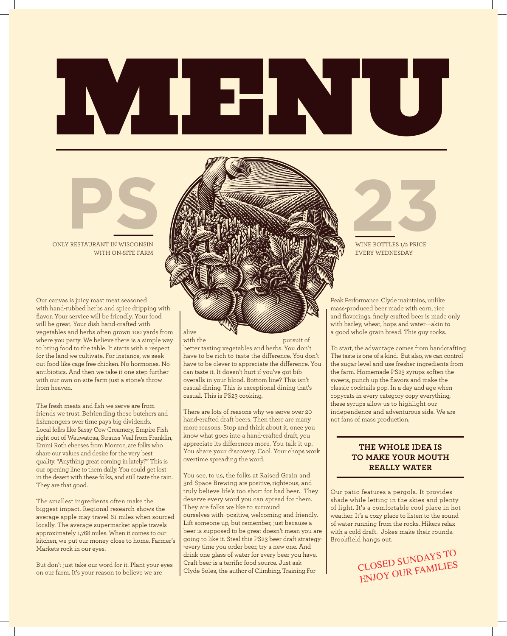# MENU

## ONLY RESTAURANT IN WISCONSIN WITH ON-SITE FARM **PSP AND AND RESTAURANT IN WISCONSIN**

Our canvas is juicy roast meat seasoned with hand-rubbed herbs and spice dripping with flavor. Your service will be friendly. Your food will be great. Your dish hand-crafted with vegetables and herbs often grown 100 yards from where you party. We believe there is a simple way to bring food to the table. It starts with a respect for the land we cultivate. For instance, we seek out food like cage free chicken. No hormones. No antibiotics. And then we take it one step further with our own on-site farm just a stone's throw from heaven.

The fresh meats and fish we serve are from The Heart means and non-we serve are Home<br>friends we trust. Befriending these butchers and mendo we tract. Bernending these Batchere and<br>fishmongers over time pays big dividends. nonmongero over unte pays organization.<br>Local folks like Sassy Cow Creamery, Empire Fish notal roma mic sassy som Sreamery, impire i sin<br>
right out of Wauwatosa, Strauss Veal from Franklin, right cat of Maamatoca, chaace Vearnom Franch, Emmi Roth cheeses from Monroe, are folks who share our values and desire for the very best who share our values and desire for the very best quality. "Anything great coming in lately?" This is quality. "Anything great coming in lately?" This is our opening line to them daily. You could get lost our opening line to them daily. You could get lost in the desert with these folks, and still taste the rain. in the desert with these folks, and still taste the rain. They are that good. They are that good.

The smallest ingredients often make the The smallest ingredients often make the biggest impact. Regional research shows the biggest impact. Regional research shows the average apple may travel 61 miles when sourced average apple may travel 61 miles when sourced locally. The average supermarket apple travels locally. The average supermarket apple travels approximately 1,768 miles. When it comes to our approximately 1,768 miles. When it comes to our kitchen, we put our money close to home. Farmer's kitchen, we put our money close to home. Farmer's Markets rock in our eyes. Markets rock in our eyes.

But don't just take our word for it. Plant your eyes But don't just take our word for it. Plant your eyes on our farm. It's your reason to believe we are on our farm. It's your reason to believe we are

alive<br>with the

pursuit of better tasting vegetables and herbs. You don't have to be rich to taste the difference. You don't have to be clever to appreciate the difference. You can taste it. It doesn't hurt if you've got bib overalls in your blood. Bottom line? This isn't casual dining. This is exceptional dining that's casual. This is PS23 cooking.

There are lots of reasons why we serve over 20 hand-crafted draft beers. Then there are many more reasons. Stop and think about it, once you know what goes into a hand-crafted draft, you know what goes into a hand-crafted draft, you appreciate its differences more. You talk it up. You share your discovery. Cool. Your chops work You share your discovery. Cool. Your chops work overtime spreading the word. overtime spreading the word. hand-crafted draft beers. Then there are many more reasons. Stop and think about it, once you

You see, to us, the folks at Raised Grain and 3rd Space Brewing are positive, righteous, and  $\overline{a}$ truly believe life's too short for bad beer. They deserve every word you can spread for them. They are folks we like to surround ourselves with–positive, welcoming and friendly. Lift someone up, but remember, just because a Lift someone up, but remember, just because a beer is supposed to be great doesn't mean you are beer is supposed to be great doesn't mean you are going to like it. Steal this PS23 beer draft strategy- going to like it. Steal this PS23 beer draft strategy- -every time you order beer, try a new one. And drink one glass of water for every beer you have. drink one glass of water for every beer you have. Craft beer is a terrific food source. Just ask Craft beer is a terrific food source. Just ask Clyde Clyde Soles, the author of Climbing, Training For

# WINE BOTTLES 1/2 PRICE

WINE BOTTLES 1/2 PRICE EVERY WEDNESDAY

Peak Performance. Clyde maintains, unlike mass-produced beer made with corn, rice and flavorings, finely crafted beer is made only with barley, wheat, hops and water---akin to a good whole grain bread. This guy rocks.

To start, the advantage comes from handcrafting. The taste is one of a kind. But also, we can control the sugar level and use fresher ingredients from the farm. Homemade PS23 syrups soften the sweets, punch up the flavors and make the classic cocktails pop. In a day and age when copycats in every category copy everything, these syrups allow us to highlight our independence and adventurous side. We are not fans of mass production.

#### **THE WHOLE IDEA IS TO MAKE YOUR MOUTH REALLY WATER**

Our patio features a pergola. It provides

**The whole idea is**

Our patio features a pergola. It provides shade while letting in the skies and plenty of light. It's a comfortable cool place in hot weather. It's a cozy place to listen to the sound of water running from the rocks. Hikers relax with a cold draft. Jokes make their rounds. Brookfield hangs out.

> CLOSED SUNDAYS TO CLOSED SUNDAYS TO ENJOY OUR FAMILIES ENJOY OUR FAMILIES